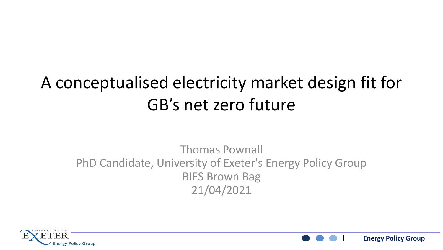#### A conceptualised electricity market design fit for GB's net zero future

#### Thomas Pownall PhD Candidate, University of Exeter's Energy Policy Group BIES Brown Bag 21/04/2021



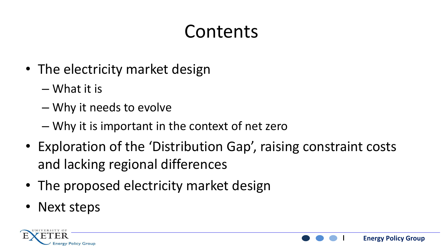### Contents

- The electricity market design
	- What it is
	- Why it needs to evolve
	- Why it is important in the context of net zero
- Exploration of the 'Distribution Gap', raising constraint costs and lacking regional differences
- The proposed electricity market design
- Next steps



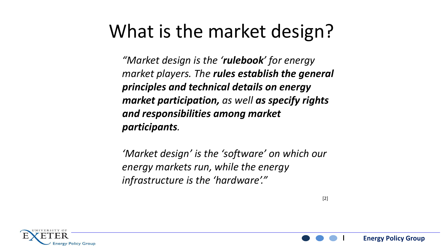#### What is the market design?

*"Market design is the 'rulebook' for energy market players. The rules establish the general principles and technical details on energy market participation, as well as specify rights and responsibilities among market participants.* 

*'Market design' is the 'software' on which our energy markets run, while the energy infrastructure is the 'hardware'."*



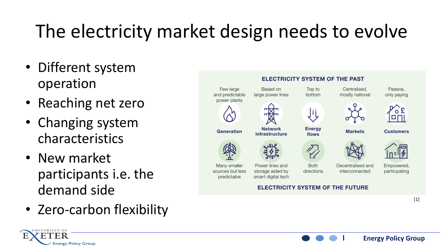# The electricity market design needs to evolve

- Different system operation
- Reaching net zero
- Changing system characteristics
- New market participants i.e. the demand side
- Zero-carbon flexibility



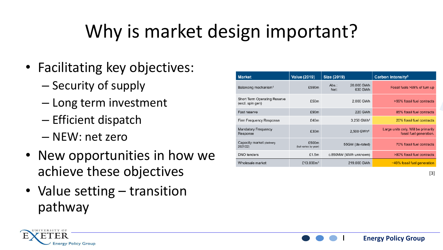# Why is market design important?

- Facilitating key objectives:
	- Security of supply
	- Long term investment
	- Efficient dispatch
	- NEW: net zero
- New opportunities in how we achieve these objectives
- Value setting transition pathway

| <b>Market</b>                                           | <b>Value (2019)</b>           | Size (2019)      |                        | Carbon intensity <sup>5</sup>                                  |
|---------------------------------------------------------|-------------------------------|------------------|------------------------|----------------------------------------------------------------|
| Balancing mechanism <sup>1</sup>                        | £590m                         | $Abs.$ :<br>Net: | 20,000 GWh<br>630 GWh  | Fossil fuels >99% of turn up                                   |
| <b>Short Term Operating Reserve</b><br>(excl. spin gen) | £50 <sub>m</sub>              |                  | 2,000 GWh              | >99% fossil fuel contracts                                     |
| Fast reserve                                            | £90 <sub>m</sub>              |                  | 220 GWh                | 85% fossil fuel contracts                                      |
| Firm Frequency Response                                 | £40m                          |                  | 3.250 GWh <sup>4</sup> | 20% fossil fuel contracts                                      |
| <b>Mandatory Frequency</b><br>Response                  | £30m                          |                  | 2,500 GWh <sup>4</sup> | Large units only. Will be primarily<br>fossil fuel generation. |
| Capacity market (delivery<br>2021/22)                   | £500m<br>(but varies by year) |                  | 55GW (de-rated)        | 70% fossil fuel contracts                                      |
| <b>DNO</b> tenders                                      | £1.5 $m$                      |                  | c.850MW (MWh unknown)  | >80% fossil fuel contracts                                     |
| Wholesale market                                        | £13,000 $m3$                  |                  | 219,000 GWh            | $\sim$ 40% fossil fuel generation                              |

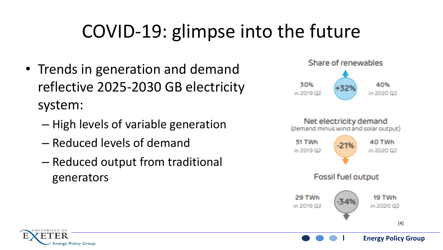# COVID-19: glimpse into the future

- Trends in generation and demand reflective 2025-2030 GB electricity system:
	- High levels of variable generation
	- Reduced levels of demand
	- Reduced output from traditional generators





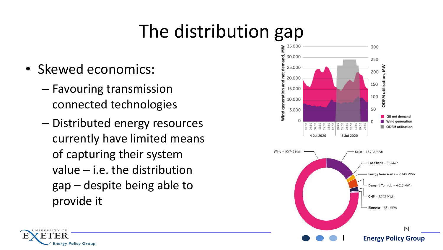## The distribution gap

- Skewed economics:
	- Favouring transmission connected technologies
	- Distributed energy resources currently have limited means of capturing their system value – i.e. the distribution gap – despite being able to provide it



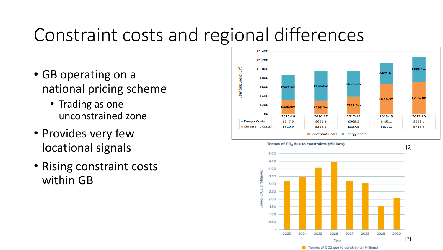#### Constraint costs and regional differences

- GB operating on a national pricing scheme
	- Trading as one unconstrained zone
- Provides very few locational signals
- Rising constraint costs within GB



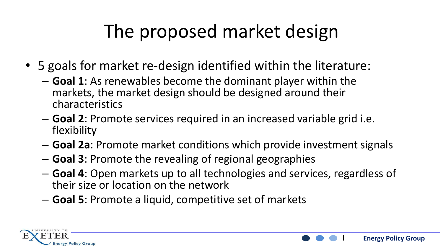### The proposed market design

- 5 goals for market re-design identified within the literature:
	- **Goal 1**: As renewables become the dominant player within the markets, the market design should be designed around their characteristics
	- **Goal 2**: Promote services required in an increased variable grid i.e. flexibility
	- **Goal 2a**: Promote market conditions which provide investment signals
	- **Goal 3**: Promote the revealing of regional geographies
	- **Goal 4**: Open markets up to all technologies and services, regardless of their size or location on the network

**Energy Policy Group**

– **Goal 5**: Promote a liquid, competitive set of markets

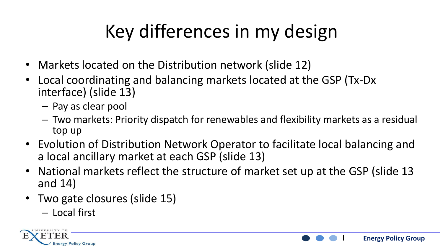# Key differences in my design

- Markets located on the Distribution network (slide 12)
- Local coordinating and balancing markets located at the GSP (Tx-Dx interface) (slide 13)
	- Pay as clear pool
	- Two markets: Priority dispatch for renewables and flexibility markets as a residual top up
- Evolution of Distribution Network Operator to facilitate local balancing and a local ancillary market at each GSP (slide 13)
- National markets reflect the structure of market set up at the GSP (slide 13 and 14)

- Two gate closures (slide 15)
	- Local first

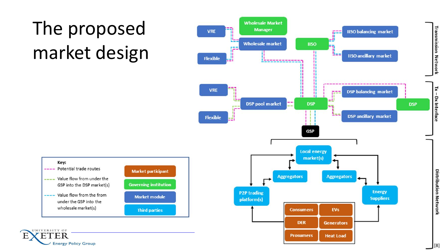# The proposed market design





UNIVERSITY OF

'ER

**Energy Policy Group** 

E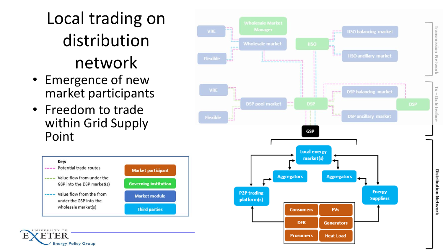### Local trading on distribution network

- Emergence of new market participants
- Freedom to trade within Grid Supply Point

**Energy Policy Group** 

E



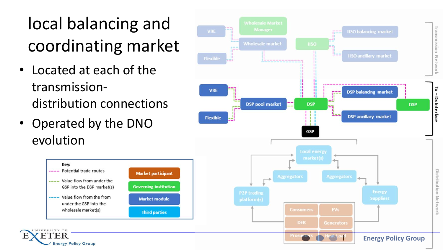### local balancing and coordinating market

- Located at each of the transmissiondistribution connections
- Operated by the DNO evolution



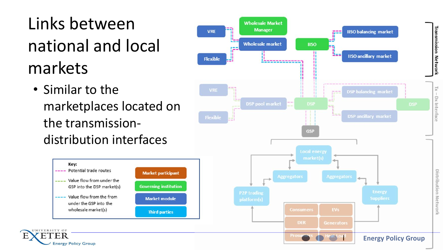Links between national and local markets

• Similar to the marketplaces located on the transmissiondistribution interfaces



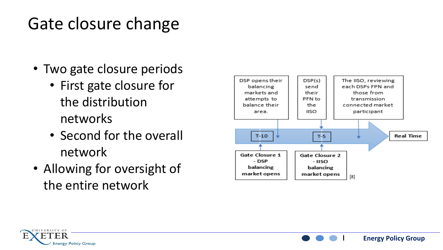#### Gate closure change

- Two gate closure periods
	- First gate closure for the distribution networks
	- Second for the overall network
- Allowing for oversight of the entire network



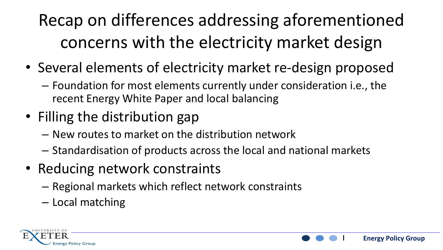Recap on differences addressing aforementioned concerns with the electricity market design

- Several elements of electricity market re-design proposed
	- Foundation for most elements currently under consideration i.e., the recent Energy White Paper and local balancing
- Filling the distribution gap
	- New routes to market on the distribution network
	- Standardisation of products across the local and national markets

- Reducing network constraints
	- Regional markets which reflect network constraints
	- Local matching

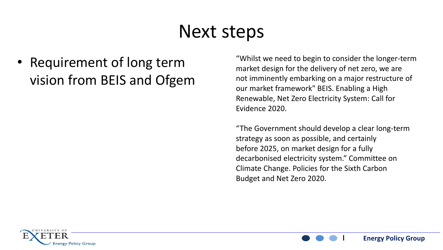#### Next steps

• Requirement of long term vision from BEIS and Ofgem

"Whilst we need to begin to consider the longer-term market design for the delivery of net zero, we are not imminently embarking on a major restructure of our market framework" BEIS. Enabling a High Renewable, Net Zero Electricity System: Call for Evidence 2020.

"The Government should develop a clear long-term strategy as soon as possible, and certainly before 2025, on market design for a fully decarbonised electricity system." Committee on Climate Change. Policies for the Sixth Carbon Budget and Net Zero 2020.

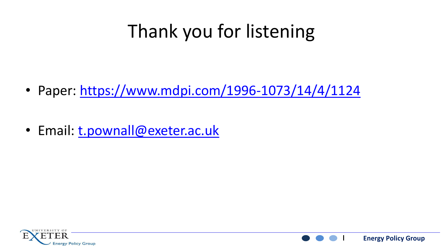### Thank you for listening

- Paper:<https://www.mdpi.com/1996-1073/14/4/1124>
- Email: [t.pownall@exeter.ac.uk](mailto:t.pownall@exeter.ac.uk)



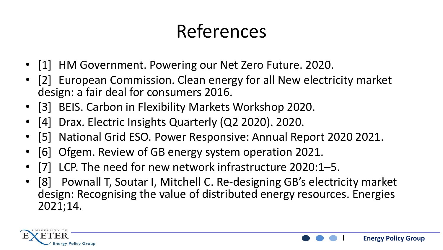### References

- [1] HM Government. Powering our Net Zero Future. 2020.
- [2] European Commission. Clean energy for all New electricity market design: a fair deal for consumers 2016.
- [3] BEIS. Carbon in Flexibility Markets Workshop 2020.
- [4] Drax. Electric Insights Quarterly (Q2 2020). 2020.
- [5] National Grid ESO. Power Responsive: Annual Report 2020 2021.
- [6] Ofgem. Review of GB energy system operation 2021.
- LCP. The need for new network infrastructure 2020:1–5.
- [8] Pownall T, Soutar I, Mitchell C. Re-designing GB's electricity market design: Recognising the value of distributed energy resources. Energies 2021;14.



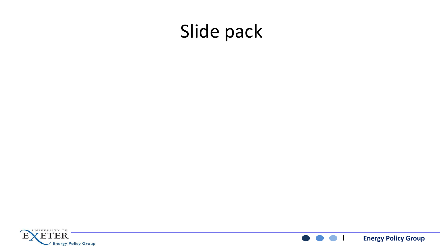#### Slide pack



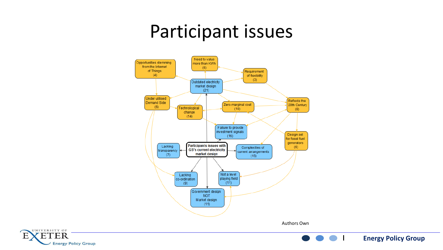#### Participant issues



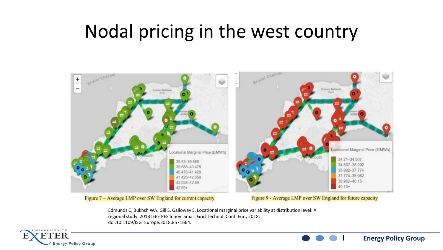#### Nodal pricing in the west country



Figure 7 - Average LMP over SW England for current capacity

Figure 9 - Average LMP over SW England for future capacity

**Energy Policy Group**

Edmunds C, Bukhsh WA, Gill S, Galloway S. Locational marginal price variability at distribution level: A regional study. 2018 IEEE PES Innov. Smart Grid Technol. Conf. Eur., 2018. doi:10.1109/ISGTEurope.2018.8571664.

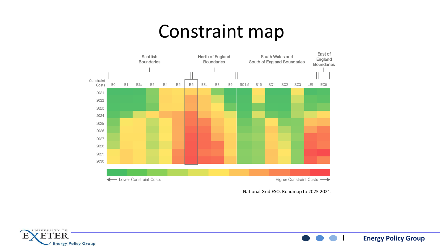#### Constraint map



National Grid ESO. Roadmap to 2025 2021.

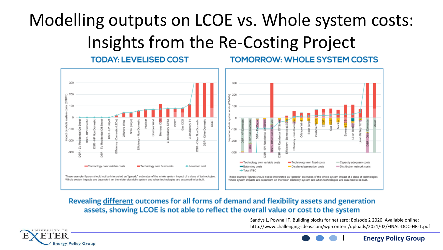#### Modelling outputs on LCOE vs. Whole system costs: Insights from the Re-Costing Project

#### **TODAY: LEVELISED COST**

#### **TOMORROW: WHOLE SYSTEM COSTS**



#### Revealing different outcomes for all forms of demand and flexibility assets and generation assets, showing LCOE is not able to reflect the overall value or cost to the system

Sandys L, Pownall T. Building blocks for net zero: Episode 2 2020. Available online: http://www.challenging-ideas.com/wp-content/uploads/2021/02/FINAL-DOC-HR-1.pdf

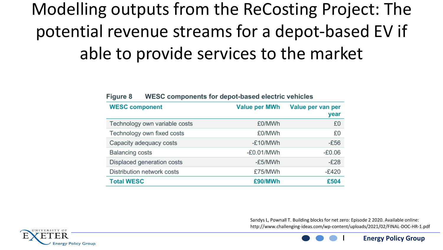### Modelling outputs from the ReCosting Project: The potential revenue streams for a depot-based EV if able to provide services to the market

| <b>WESC component</b>         | <b>Value per MWh</b> | Value per van per<br>year |
|-------------------------------|----------------------|---------------------------|
| Technology own variable costs | £0/MWh               | £0                        |
| Technology own fixed costs    | £0/MWh               | £0                        |
| Capacity adequacy costs       | -£10/MWh             | $-E56$                    |
| <b>Balancing costs</b>        | $-E0.01/MWh$         | $-£0.06$                  |
| Displaced generation costs    | -£5/MWh              | $-E28$                    |
| Distribution network costs    | £75/MWh              | $-E420$                   |
| <b>Total WESC</b>             | £90/MWh              | £504                      |

#### WESC components for depot-based electric vehicles **Figure 8**

Sandys L, Pownall T. Building blocks for net zero: Episode 2 2020. Available online: http://www.challenging-ideas.com/wp-content/uploads/2021/02/FINAL-DOC-HR-1.pdf

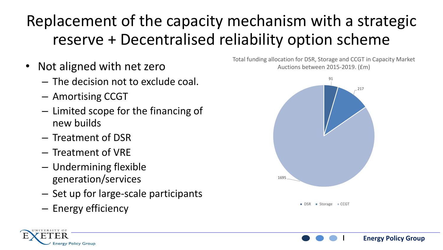#### Replacement of the capacity mechanism with a strategic reserve + Decentralised reliability option scheme

- Not aligned with net zero
	- The decision not to exclude coal.
	- Amortising CCGT
	- Limited scope for the financing of new builds
	- Treatment of DSR
	- Treatment of VRE
	- Undermining flexible generation/services
	- Set up for large-scale participants
	- Energy efficiency

Total funding allocation for DSR, Storage and CCGT in Capacity Market Auctions between 2015-2019. (£m)